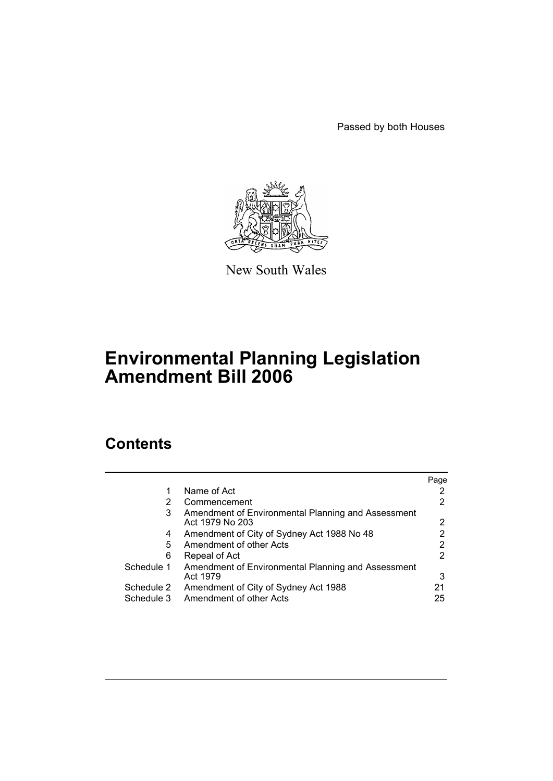Passed by both Houses



New South Wales

# **Environmental Planning Legislation Amendment Bill 2006**

# **Contents**

|            |                                                                       | Page |
|------------|-----------------------------------------------------------------------|------|
| 1          | Name of Act                                                           |      |
| 2          | Commencement                                                          |      |
| 3          | Amendment of Environmental Planning and Assessment<br>Act 1979 No 203 | 2    |
| 4          | Amendment of City of Sydney Act 1988 No 48                            |      |
| 5          | Amendment of other Acts                                               |      |
| 6          | Repeal of Act                                                         | 2    |
| Schedule 1 | Amendment of Environmental Planning and Assessment<br>Act 1979        | 3    |
| Schedule 2 | Amendment of City of Sydney Act 1988                                  | 21   |
| Schedule 3 | Amendment of other Acts                                               | 25   |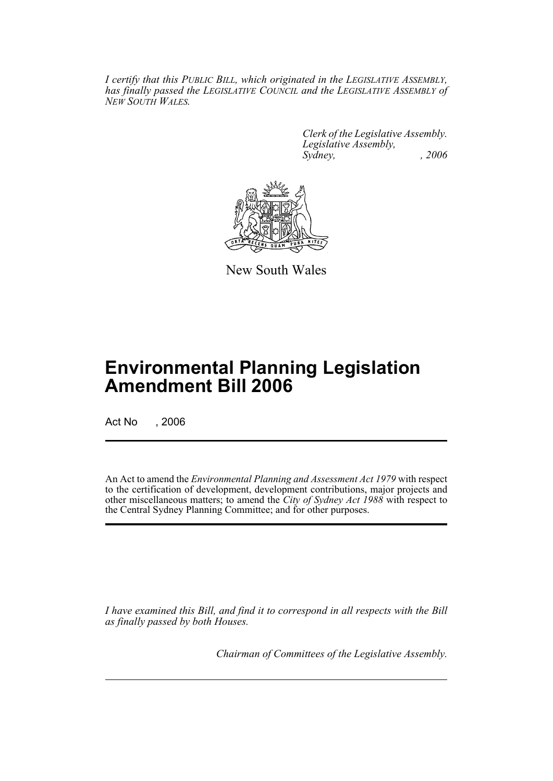*I certify that this PUBLIC BILL, which originated in the LEGISLATIVE ASSEMBLY, has finally passed the LEGISLATIVE COUNCIL and the LEGISLATIVE ASSEMBLY of NEW SOUTH WALES.*

> *Clerk of the Legislative Assembly. Legislative Assembly, Sydney, , 2006*



New South Wales

# **Environmental Planning Legislation Amendment Bill 2006**

Act No , 2006

An Act to amend the *Environmental Planning and Assessment Act 1979* with respect to the certification of development, development contributions, major projects and other miscellaneous matters; to amend the *City of Sydney Act 1988* with respect to the Central Sydney Planning Committee; and for other purposes.

*I have examined this Bill, and find it to correspond in all respects with the Bill as finally passed by both Houses.*

*Chairman of Committees of the Legislative Assembly.*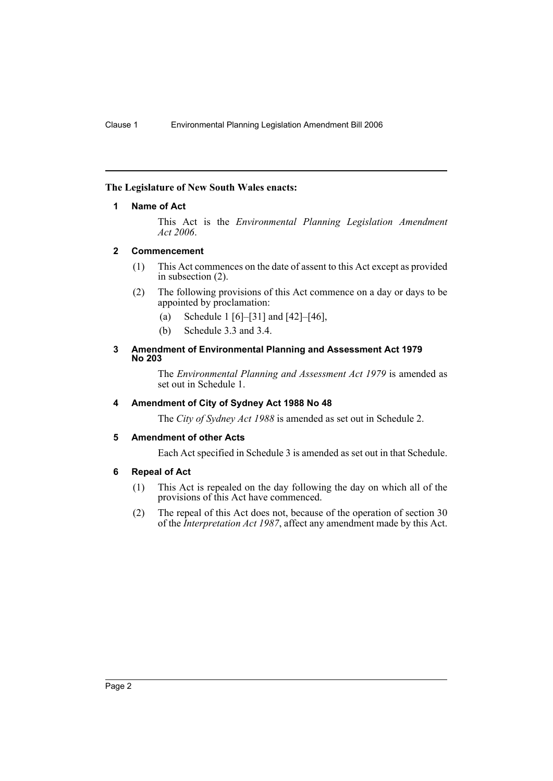# **The Legislature of New South Wales enacts:**

# **1 Name of Act**

This Act is the *Environmental Planning Legislation Amendment Act 2006*.

# **2 Commencement**

- (1) This Act commences on the date of assent to this Act except as provided in subsection (2).
- (2) The following provisions of this Act commence on a day or days to be appointed by proclamation:
	- (a) Schedule 1 [6]–[31] and [42]–[46],
	- (b) Schedule 3.3 and 3.4.

#### **3 Amendment of Environmental Planning and Assessment Act 1979 No 203**

The *Environmental Planning and Assessment Act 1979* is amended as set out in Schedule 1.

# **4 Amendment of City of Sydney Act 1988 No 48**

The *City of Sydney Act 1988* is amended as set out in Schedule 2.

# **5 Amendment of other Acts**

Each Act specified in Schedule 3 is amended as set out in that Schedule.

# **6 Repeal of Act**

- (1) This Act is repealed on the day following the day on which all of the provisions of this Act have commenced.
- (2) The repeal of this Act does not, because of the operation of section 30 of the *Interpretation Act 1987*, affect any amendment made by this Act.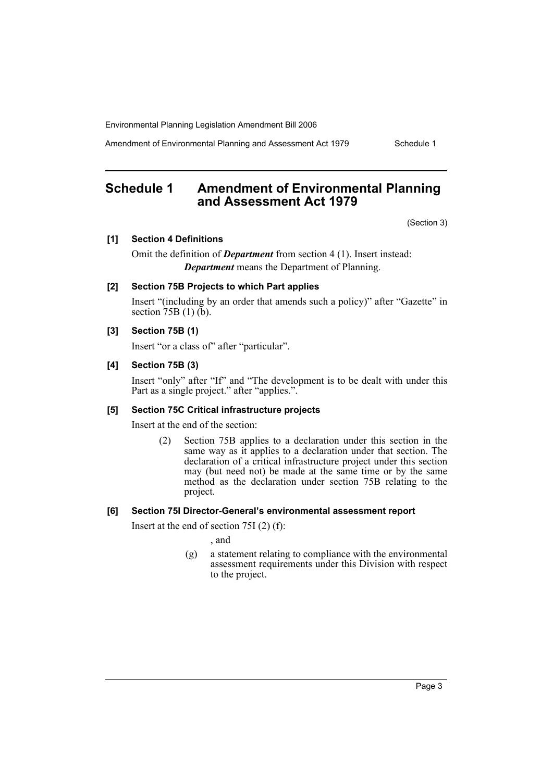Amendment of Environmental Planning and Assessment Act 1979 Schedule 1

# **Schedule 1 Amendment of Environmental Planning and Assessment Act 1979**

(Section 3)

# **[1] Section 4 Definitions**

Omit the definition of *Department* from section 4 (1). Insert instead: *Department* means the Department of Planning.

# **[2] Section 75B Projects to which Part applies**

Insert "(including by an order that amends such a policy)" after "Gazette" in section  $75B(1)(\bar{b})$ .

# **[3] Section 75B (1)**

Insert "or a class of" after "particular".

# **[4] Section 75B (3)**

Insert "only" after "If" and "The development is to be dealt with under this Part as a single project." after "applies.".

#### **[5] Section 75C Critical infrastructure projects**

Insert at the end of the section:

(2) Section 75B applies to a declaration under this section in the same way as it applies to a declaration under that section. The declaration of a critical infrastructure project under this section may (but need not) be made at the same time or by the same method as the declaration under section 75B relating to the project.

# **[6] Section 75I Director-General's environmental assessment report**

Insert at the end of section 75I (2) (f):

, and

(g) a statement relating to compliance with the environmental assessment requirements under this Division with respect to the project.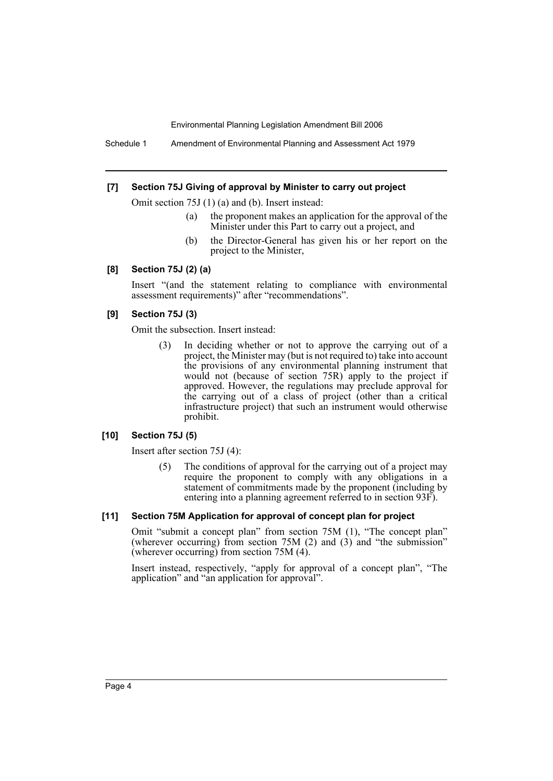Schedule 1 Amendment of Environmental Planning and Assessment Act 1979

#### **[7] Section 75J Giving of approval by Minister to carry out project**

Omit section 75J (1) (a) and (b). Insert instead:

- (a) the proponent makes an application for the approval of the Minister under this Part to carry out a project, and
- (b) the Director-General has given his or her report on the project to the Minister,

# **[8] Section 75J (2) (a)**

Insert "(and the statement relating to compliance with environmental assessment requirements)" after "recommendations".

#### **[9] Section 75J (3)**

Omit the subsection. Insert instead:

(3) In deciding whether or not to approve the carrying out of a project, the Minister may (but is not required to) take into account the provisions of any environmental planning instrument that would not (because of section 75R) apply to the project if approved. However, the regulations may preclude approval for the carrying out of a class of project (other than a critical infrastructure project) that such an instrument would otherwise prohibit.

# **[10] Section 75J (5)**

Insert after section 75J (4):

(5) The conditions of approval for the carrying out of a project may require the proponent to comply with any obligations in a statement of commitments made by the proponent (including by entering into a planning agreement referred to in section 93F).

#### **[11] Section 75M Application for approval of concept plan for project**

Omit "submit a concept plan" from section 75M (1), "The concept plan" (wherever occurring) from section  $75M$  (2) and  $(3)$  and "the submission" (wherever occurring) from section 75M (4).

Insert instead, respectively, "apply for approval of a concept plan", "The application" and "an application for approval".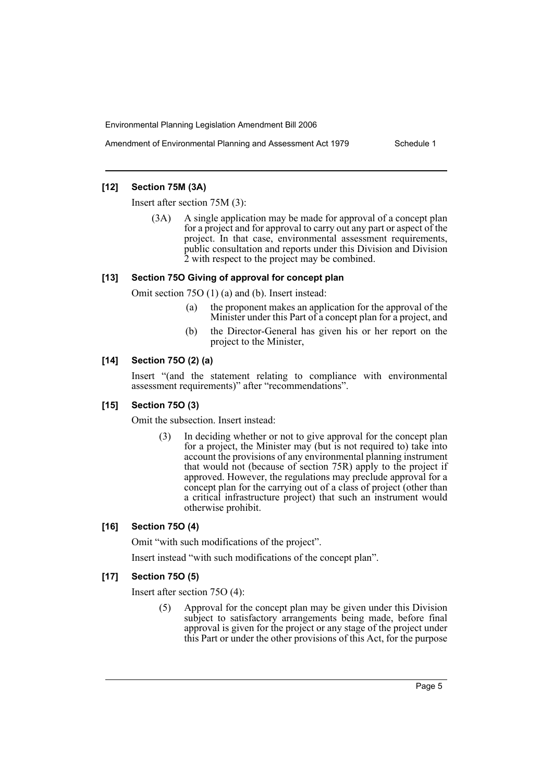Amendment of Environmental Planning and Assessment Act 1979 Schedule 1

# **[12] Section 75M (3A)**

Insert after section 75M (3):

(3A) A single application may be made for approval of a concept plan for a project and for approval to carry out any part or aspect of the project. In that case, environmental assessment requirements, public consultation and reports under this Division and Division 2 with respect to the project may be combined.

# **[13] Section 75O Giving of approval for concept plan**

Omit section 75O (1) (a) and (b). Insert instead:

- (a) the proponent makes an application for the approval of the Minister under this Part of a concept plan for a project, and
- (b) the Director-General has given his or her report on the project to the Minister,

# **[14] Section 75O (2) (a)**

Insert "(and the statement relating to compliance with environmental assessment requirements)" after "recommendations".

# **[15] Section 75O (3)**

Omit the subsection. Insert instead:

(3) In deciding whether or not to give approval for the concept plan for a project, the Minister may (but is not required to) take into account the provisions of any environmental planning instrument that would not (because of section 75R) apply to the project if approved. However, the regulations may preclude approval for a concept plan for the carrying out of a class of project (other than a critical infrastructure project) that such an instrument would otherwise prohibit.

# **[16] Section 75O (4)**

Omit "with such modifications of the project".

Insert instead "with such modifications of the concept plan".

# **[17] Section 75O (5)**

Insert after section 75O (4):

(5) Approval for the concept plan may be given under this Division subject to satisfactory arrangements being made, before final approval is given for the project or any stage of the project under this Part or under the other provisions of this Act, for the purpose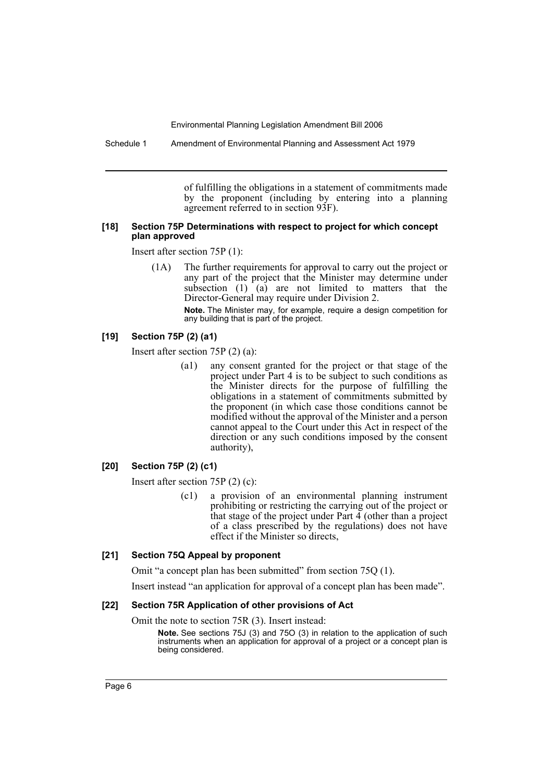Schedule 1 Amendment of Environmental Planning and Assessment Act 1979

of fulfilling the obligations in a statement of commitments made by the proponent (including by entering into a planning agreement referred to in section 93F).

#### **[18] Section 75P Determinations with respect to project for which concept plan approved**

Insert after section 75P (1):

(1A) The further requirements for approval to carry out the project or any part of the project that the Minister may determine under subsection  $(1)$   $(a)$  are not limited to matters that the Director-General may require under Division 2.

> **Note.** The Minister may, for example, require a design competition for any building that is part of the project.

# **[19] Section 75P (2) (a1)**

Insert after section 75P (2) (a):

(a1) any consent granted for the project or that stage of the project under Part 4 is to be subject to such conditions as the Minister directs for the purpose of fulfilling the obligations in a statement of commitments submitted by the proponent (in which case those conditions cannot be modified without the approval of the Minister and a person cannot appeal to the Court under this Act in respect of the direction or any such conditions imposed by the consent authority),

#### **[20] Section 75P (2) (c1)**

Insert after section 75P (2) (c):

(c1) a provision of an environmental planning instrument prohibiting or restricting the carrying out of the project or that stage of the project under Part  $\overline{4}$  (other than a project of a class prescribed by the regulations) does not have effect if the Minister so directs,

#### **[21] Section 75Q Appeal by proponent**

Omit "a concept plan has been submitted" from section 75Q (1).

Insert instead "an application for approval of a concept plan has been made".

#### **[22] Section 75R Application of other provisions of Act**

Omit the note to section 75R (3). Insert instead:

**Note.** See sections 75J (3) and 75O (3) in relation to the application of such instruments when an application for approval of a project or a concept plan is being considered.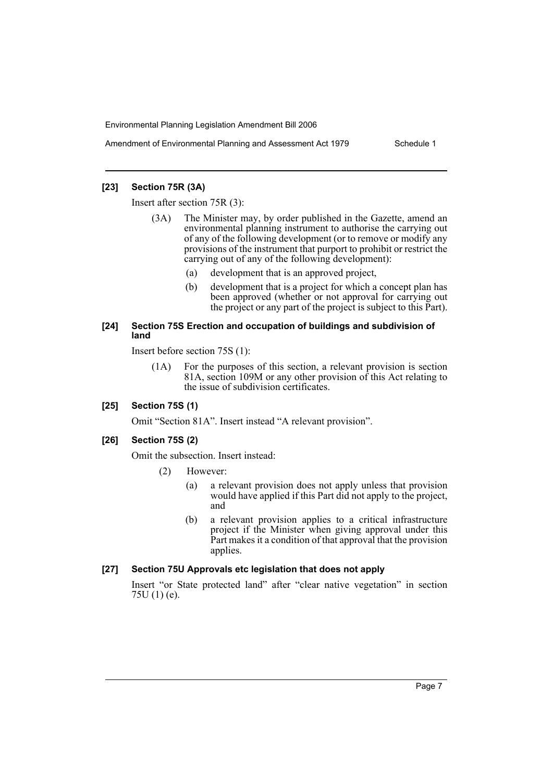Amendment of Environmental Planning and Assessment Act 1979 Schedule 1

# **[23] Section 75R (3A)**

Insert after section 75R (3):

- (3A) The Minister may, by order published in the Gazette, amend an environmental planning instrument to authorise the carrying out of any of the following development (or to remove or modify any provisions of the instrument that purport to prohibit or restrict the carrying out of any of the following development):
	- (a) development that is an approved project,
	- (b) development that is a project for which a concept plan has been approved (whether or not approval for carrying out the project or any part of the project is subject to this Part).

#### **[24] Section 75S Erection and occupation of buildings and subdivision of land**

Insert before section 75S (1):

(1A) For the purposes of this section, a relevant provision is section 81A, section 109M or any other provision of this Act relating to the issue of subdivision certificates.

#### **[25] Section 75S (1)**

Omit "Section 81A". Insert instead "A relevant provision".

# **[26] Section 75S (2)**

Omit the subsection. Insert instead:

- (2) However:
	- (a) a relevant provision does not apply unless that provision would have applied if this Part did not apply to the project, and
	- (b) a relevant provision applies to a critical infrastructure project if the Minister when giving approval under this Part makes it a condition of that approval that the provision applies.

# **[27] Section 75U Approvals etc legislation that does not apply**

Insert "or State protected land" after "clear native vegetation" in section 75U (1) (e).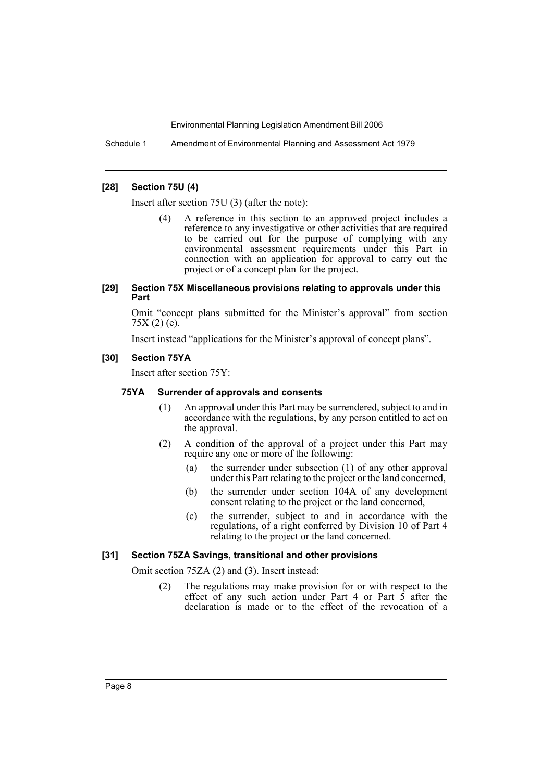Schedule 1 Amendment of Environmental Planning and Assessment Act 1979

#### **[28] Section 75U (4)**

Insert after section 75U (3) (after the note):

(4) A reference in this section to an approved project includes a reference to any investigative or other activities that are required to be carried out for the purpose of complying with any environmental assessment requirements under this Part in connection with an application for approval to carry out the project or of a concept plan for the project.

#### **[29] Section 75X Miscellaneous provisions relating to approvals under this Part**

Omit "concept plans submitted for the Minister's approval" from section  $75X(2)(e)$ .

Insert instead "applications for the Minister's approval of concept plans".

# **[30] Section 75YA**

Insert after section 75Y:

# **75YA Surrender of approvals and consents**

- (1) An approval under this Part may be surrendered, subject to and in accordance with the regulations, by any person entitled to act on the approval.
- (2) A condition of the approval of a project under this Part may require any one or more of the following:
	- (a) the surrender under subsection (1) of any other approval under this Part relating to the project or the land concerned,
	- (b) the surrender under section 104A of any development consent relating to the project or the land concerned,
	- (c) the surrender, subject to and in accordance with the regulations, of a right conferred by Division 10 of Part 4 relating to the project or the land concerned.

#### **[31] Section 75ZA Savings, transitional and other provisions**

Omit section 75ZA (2) and (3). Insert instead:

(2) The regulations may make provision for or with respect to the effect of any such action under Part 4 or Part  $\vec{5}$  after the declaration is made or to the effect of the revocation of a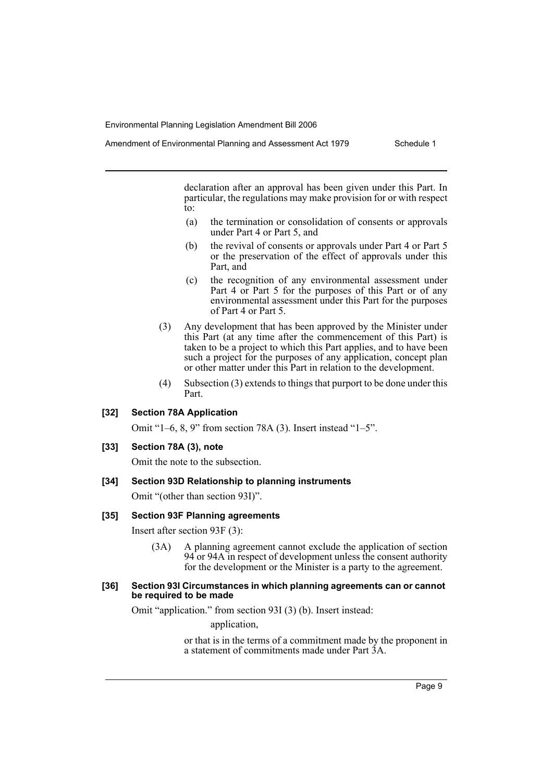Amendment of Environmental Planning and Assessment Act 1979 Schedule 1

declaration after an approval has been given under this Part. In particular, the regulations may make provision for or with respect to:

- (a) the termination or consolidation of consents or approvals under Part 4 or Part 5, and
- (b) the revival of consents or approvals under Part 4 or Part 5 or the preservation of the effect of approvals under this Part, and
- (c) the recognition of any environmental assessment under Part 4 or Part 5 for the purposes of this Part or of any environmental assessment under this Part for the purposes of Part 4 or Part 5.
- (3) Any development that has been approved by the Minister under this Part (at any time after the commencement of this Part) is taken to be a project to which this Part applies, and to have been such a project for the purposes of any application, concept plan or other matter under this Part in relation to the development.
- (4) Subsection (3) extends to things that purport to be done under this Part.

# **[32] Section 78A Application**

Omit "1–6, 8, 9" from section 78A (3). Insert instead "1–5".

#### **[33] Section 78A (3), note**

Omit the note to the subsection.

# **[34] Section 93D Relationship to planning instruments**

Omit "(other than section 93I)".

#### **[35] Section 93F Planning agreements**

Insert after section 93F (3):

(3A) A planning agreement cannot exclude the application of section 94 or 94A in respect of development unless the consent authority for the development or the Minister is a party to the agreement.

#### **[36] Section 93I Circumstances in which planning agreements can or cannot be required to be made**

Omit "application." from section 93I (3) (b). Insert instead:

application,

or that is in the terms of a commitment made by the proponent in a statement of commitments made under Part 3A.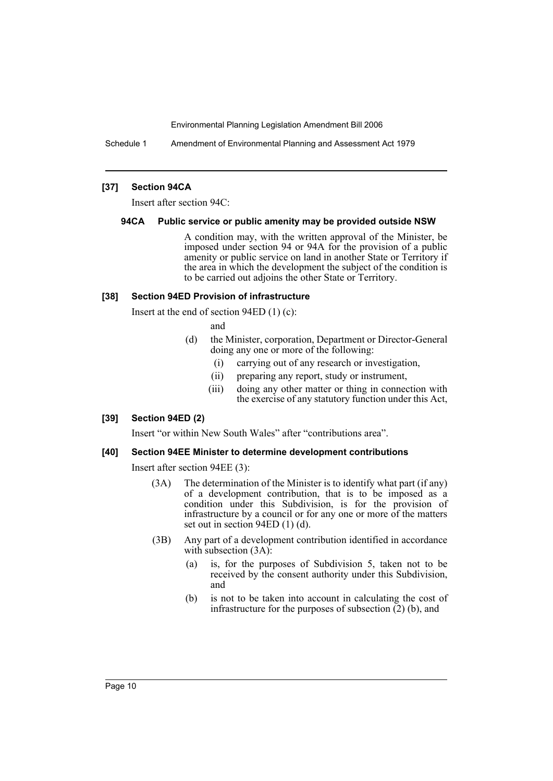Schedule 1 Amendment of Environmental Planning and Assessment Act 1979

# **[37] Section 94CA**

Insert after section 94C:

#### **94CA Public service or public amenity may be provided outside NSW**

A condition may, with the written approval of the Minister, be imposed under section 94 or 94A for the provision of a public amenity or public service on land in another State or Territory if the area in which the development the subject of the condition is to be carried out adjoins the other State or Territory.

#### **[38] Section 94ED Provision of infrastructure**

Insert at the end of section 94ED (1) (c):

and

- (d) the Minister, corporation, Department or Director-General doing any one or more of the following:
	- (i) carrying out of any research or investigation,
	- (ii) preparing any report, study or instrument,
	- (iii) doing any other matter or thing in connection with the exercise of any statutory function under this Act,

# **[39] Section 94ED (2)**

Insert "or within New South Wales" after "contributions area".

#### **[40] Section 94EE Minister to determine development contributions**

Insert after section 94EE (3):

- (3A) The determination of the Minister is to identify what part (if any) of a development contribution, that is to be imposed as a condition under this Subdivision, is for the provision of infrastructure by a council or for any one or more of the matters set out in section 94ED (1) (d).
- (3B) Any part of a development contribution identified in accordance with subsection  $(3A)$ :
	- (a) is, for the purposes of Subdivision 5, taken not to be received by the consent authority under this Subdivision, and
	- (b) is not to be taken into account in calculating the cost of infrastructure for the purposes of subsection  $(2)$  (b), and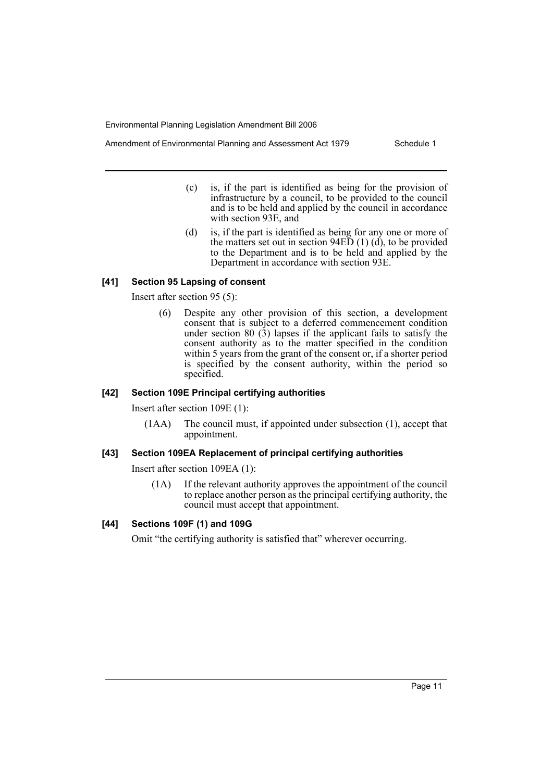Amendment of Environmental Planning and Assessment Act 1979 Schedule 1

- (c) is, if the part is identified as being for the provision of infrastructure by a council, to be provided to the council and is to be held and applied by the council in accordance with section 93E, and
- (d) is, if the part is identified as being for any one or more of the matters set out in section  $94E\bar{D}$  (1) (d), to be provided to the Department and is to be held and applied by the Department in accordance with section 93E.

# **[41] Section 95 Lapsing of consent**

Insert after section 95 (5):

(6) Despite any other provision of this section, a development consent that is subject to a deferred commencement condition under section 80  $(3)$  lapses if the applicant fails to satisfy the consent authority as to the matter specified in the condition within 5 years from the grant of the consent or, if a shorter period is specified by the consent authority, within the period so specified.

#### **[42] Section 109E Principal certifying authorities**

Insert after section 109E (1):

(1AA) The council must, if appointed under subsection (1), accept that appointment.

#### **[43] Section 109EA Replacement of principal certifying authorities**

Insert after section 109EA (1):

(1A) If the relevant authority approves the appointment of the council to replace another person as the principal certifying authority, the council must accept that appointment.

# **[44] Sections 109F (1) and 109G**

Omit "the certifying authority is satisfied that" wherever occurring.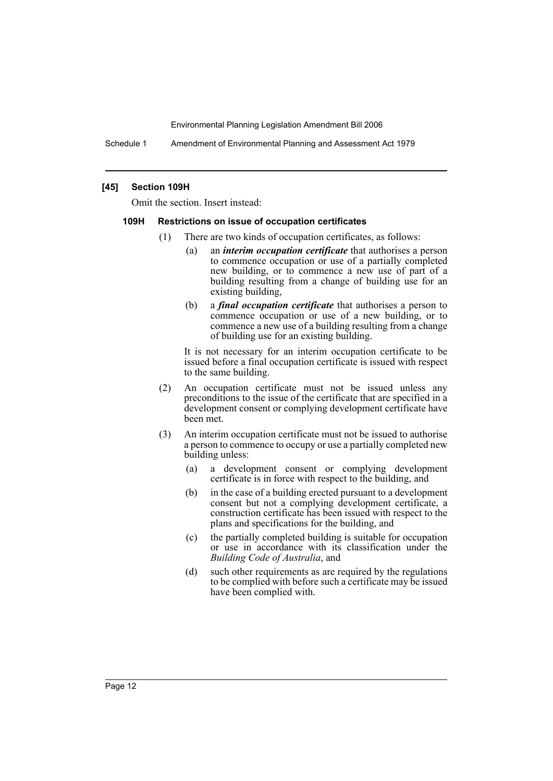Schedule 1 Amendment of Environmental Planning and Assessment Act 1979

#### **[45] Section 109H**

Omit the section. Insert instead:

#### **109H Restrictions on issue of occupation certificates**

- (1) There are two kinds of occupation certificates, as follows:
	- (a) an *interim occupation certificate* that authorises a person to commence occupation or use of a partially completed new building, or to commence a new use of part of a building resulting from a change of building use for an existing building,
	- (b) a *final occupation certificate* that authorises a person to commence occupation or use of a new building, or to commence a new use of a building resulting from a change of building use for an existing building.

It is not necessary for an interim occupation certificate to be issued before a final occupation certificate is issued with respect to the same building.

- (2) An occupation certificate must not be issued unless any preconditions to the issue of the certificate that are specified in a development consent or complying development certificate have been met.
- (3) An interim occupation certificate must not be issued to authorise a person to commence to occupy or use a partially completed new building unless:
	- (a) a development consent or complying development certificate is in force with respect to the building, and
	- (b) in the case of a building erected pursuant to a development consent but not a complying development certificate, a construction certificate has been issued with respect to the plans and specifications for the building, and
	- (c) the partially completed building is suitable for occupation or use in accordance with its classification under the *Building Code of Australia*, and
	- (d) such other requirements as are required by the regulations to be complied with before such a certificate may be issued have been complied with.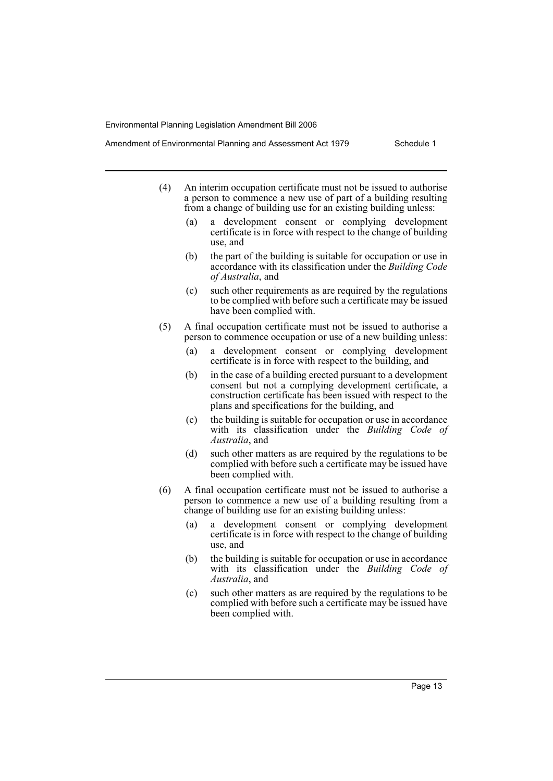- Amendment of Environmental Planning and Assessment Act 1979 Schedule 1
	- (4) An interim occupation certificate must not be issued to authorise a person to commence a new use of part of a building resulting from a change of building use for an existing building unless:
		- (a) a development consent or complying development certificate is in force with respect to the change of building use, and
		- (b) the part of the building is suitable for occupation or use in accordance with its classification under the *Building Code of Australia*, and
		- (c) such other requirements as are required by the regulations to be complied with before such a certificate may be issued have been complied with.
	- (5) A final occupation certificate must not be issued to authorise a person to commence occupation or use of a new building unless:
		- (a) a development consent or complying development certificate is in force with respect to the building, and
		- (b) in the case of a building erected pursuant to a development consent but not a complying development certificate, a construction certificate has been issued with respect to the plans and specifications for the building, and
		- (c) the building is suitable for occupation or use in accordance with its classification under the *Building Code of Australia*, and
		- (d) such other matters as are required by the regulations to be complied with before such a certificate may be issued have been complied with.
	- (6) A final occupation certificate must not be issued to authorise a person to commence a new use of a building resulting from a change of building use for an existing building unless:
		- (a) a development consent or complying development certificate is in force with respect to the change of building use, and
		- (b) the building is suitable for occupation or use in accordance with its classification under the *Building Code of Australia*, and
		- (c) such other matters as are required by the regulations to be complied with before such a certificate may be issued have been complied with.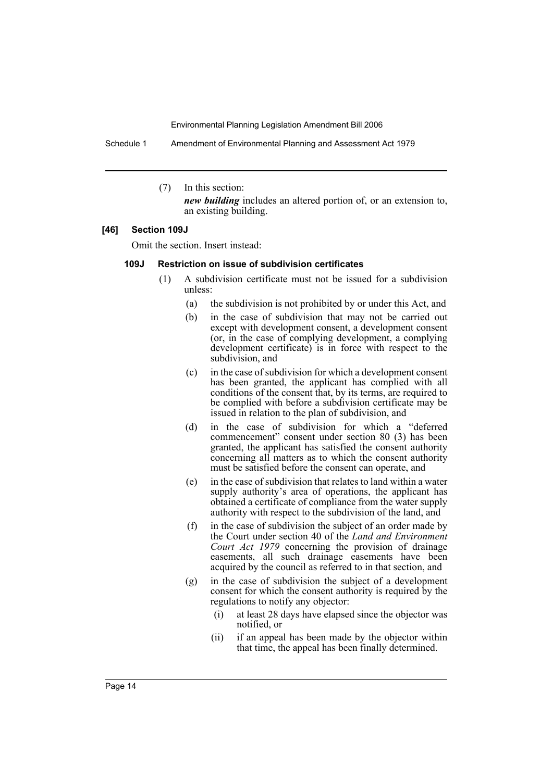Schedule 1 Amendment of Environmental Planning and Assessment Act 1979

(7) In this section:

*new building* includes an altered portion of, or an extension to, an existing building.

#### **[46] Section 109J**

Omit the section. Insert instead:

#### **109J Restriction on issue of subdivision certificates**

- (1) A subdivision certificate must not be issued for a subdivision unless:
	- (a) the subdivision is not prohibited by or under this Act, and
	- (b) in the case of subdivision that may not be carried out except with development consent, a development consent (or, in the case of complying development, a complying development certificate) is in force with respect to the subdivision, and
	- (c) in the case of subdivision for which a development consent has been granted, the applicant has complied with all conditions of the consent that, by its terms, are required to be complied with before a subdivision certificate may be issued in relation to the plan of subdivision, and
	- (d) in the case of subdivision for which a "deferred commencement" consent under section 80 (3) has been granted, the applicant has satisfied the consent authority concerning all matters as to which the consent authority must be satisfied before the consent can operate, and
	- (e) in the case of subdivision that relates to land within a water supply authority's area of operations, the applicant has obtained a certificate of compliance from the water supply authority with respect to the subdivision of the land, and
	- (f) in the case of subdivision the subject of an order made by the Court under section 40 of the *Land and Environment Court Act 1979* concerning the provision of drainage easements, all such drainage easements have been acquired by the council as referred to in that section, and
	- (g) in the case of subdivision the subject of a development consent for which the consent authority is required by the regulations to notify any objector:
		- (i) at least 28 days have elapsed since the objector was notified, or
		- (ii) if an appeal has been made by the objector within that time, the appeal has been finally determined.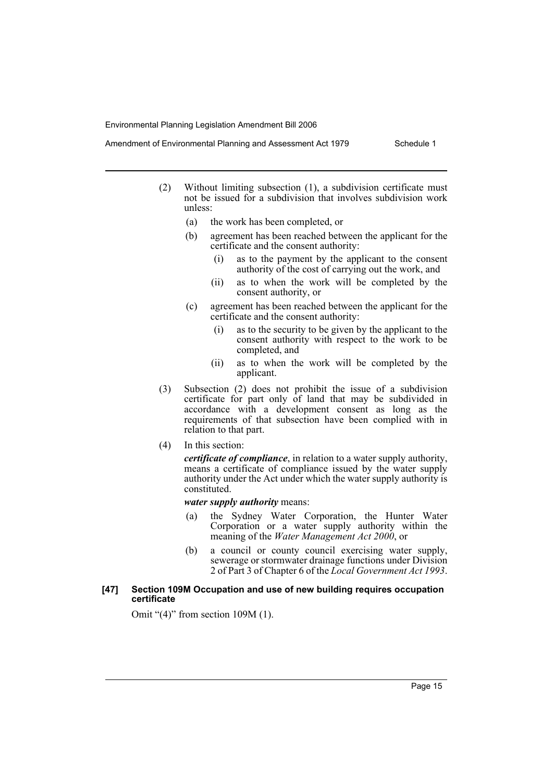- Amendment of Environmental Planning and Assessment Act 1979 Schedule 1
	- (2) Without limiting subsection (1), a subdivision certificate must not be issued for a subdivision that involves subdivision work unless:
		- (a) the work has been completed, or
		- (b) agreement has been reached between the applicant for the certificate and the consent authority:
			- (i) as to the payment by the applicant to the consent authority of the cost of carrying out the work, and
			- (ii) as to when the work will be completed by the consent authority, or
		- (c) agreement has been reached between the applicant for the certificate and the consent authority:
			- (i) as to the security to be given by the applicant to the consent authority with respect to the work to be completed, and
			- (ii) as to when the work will be completed by the applicant.
	- (3) Subsection (2) does not prohibit the issue of a subdivision certificate for part only of land that may be subdivided in accordance with a development consent as long as the requirements of that subsection have been complied with in relation to that part.
	- (4) In this section:

*certificate of compliance*, in relation to a water supply authority, means a certificate of compliance issued by the water supply authority under the Act under which the water supply authority is constituted.

*water supply authority* means:

- (a) the Sydney Water Corporation, the Hunter Water Corporation or a water supply authority within the meaning of the *Water Management Act 2000*, or
- (b) a council or county council exercising water supply, sewerage or stormwater drainage functions under Division 2 of Part 3 of Chapter 6 of the *Local Government Act 1993*.

# **[47] Section 109M Occupation and use of new building requires occupation certificate**

Omit "(4)" from section 109M (1).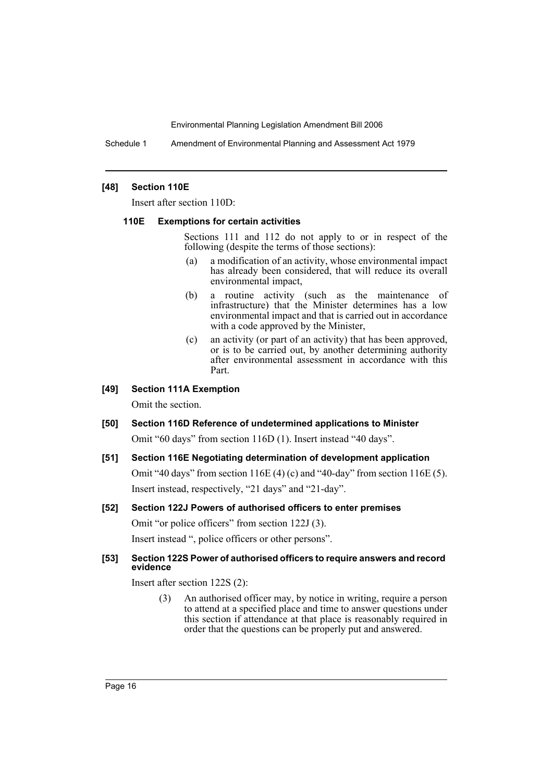Schedule 1 Amendment of Environmental Planning and Assessment Act 1979

#### **[48] Section 110E**

Insert after section 110D:

#### **110E Exemptions for certain activities**

Sections 111 and 112 do not apply to or in respect of the following (despite the terms of those sections):

- (a) a modification of an activity, whose environmental impact has already been considered, that will reduce its overall environmental impact,
- (b) a routine activity (such as the maintenance of infrastructure) that the Minister determines has a low environmental impact and that is carried out in accordance with a code approved by the Minister,
- (c) an activity (or part of an activity) that has been approved, or is to be carried out, by another determining authority after environmental assessment in accordance with this Part.

#### **[49] Section 111A Exemption**

Omit the section.

**[50] Section 116D Reference of undetermined applications to Minister** Omit "60 days" from section 116D (1). Insert instead "40 days".

# **[51] Section 116E Negotiating determination of development application** Omit "40 days" from section  $116E(4)$  (c) and "40-day" from section  $116E(5)$ . Insert instead, respectively, "21 days" and "21-day".

# **[52] Section 122J Powers of authorised officers to enter premises** Omit "or police officers" from section 122J (3).

Insert instead ", police officers or other persons".

# **[53] Section 122S Power of authorised officers to require answers and record evidence**

Insert after section 122S (2):

(3) An authorised officer may, by notice in writing, require a person to attend at a specified place and time to answer questions under this section if attendance at that place is reasonably required in order that the questions can be properly put and answered.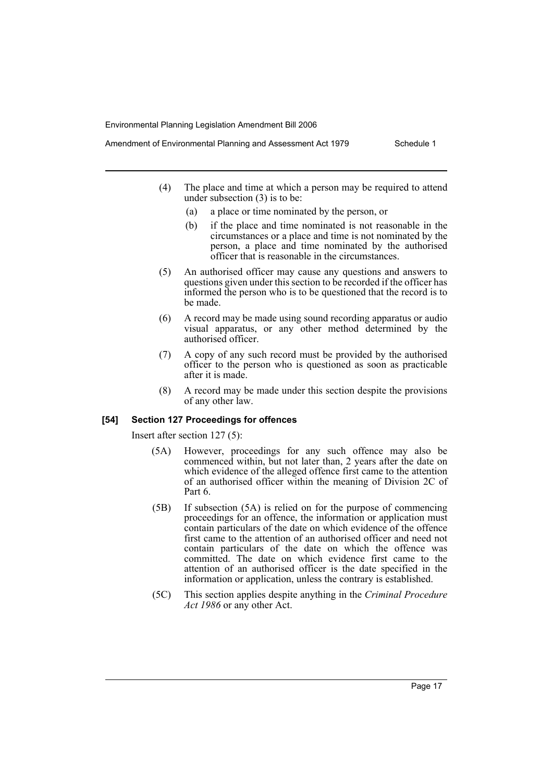- Amendment of Environmental Planning and Assessment Act 1979 Schedule 1
	- (4) The place and time at which a person may be required to attend under subsection (3) is to be:
		- (a) a place or time nominated by the person, or
		- (b) if the place and time nominated is not reasonable in the circumstances or a place and time is not nominated by the person, a place and time nominated by the authorised officer that is reasonable in the circumstances.
	- (5) An authorised officer may cause any questions and answers to questions given under this section to be recorded if the officer has informed the person who is to be questioned that the record is to be made.
	- (6) A record may be made using sound recording apparatus or audio visual apparatus, or any other method determined by the authorised officer.
	- (7) A copy of any such record must be provided by the authorised officer to the person who is questioned as soon as practicable after it is made.
	- (8) A record may be made under this section despite the provisions of any other law.

#### **[54] Section 127 Proceedings for offences**

Insert after section 127 (5):

- (5A) However, proceedings for any such offence may also be commenced within, but not later than, 2 years after the date on which evidence of the alleged offence first came to the attention of an authorised officer within the meaning of Division 2C of Part 6.
- (5B) If subsection (5A) is relied on for the purpose of commencing proceedings for an offence, the information or application must contain particulars of the date on which evidence of the offence first came to the attention of an authorised officer and need not contain particulars of the date on which the offence was committed. The date on which evidence first came to the attention of an authorised officer is the date specified in the information or application, unless the contrary is established.
- (5C) This section applies despite anything in the *Criminal Procedure Act 1986* or any other Act.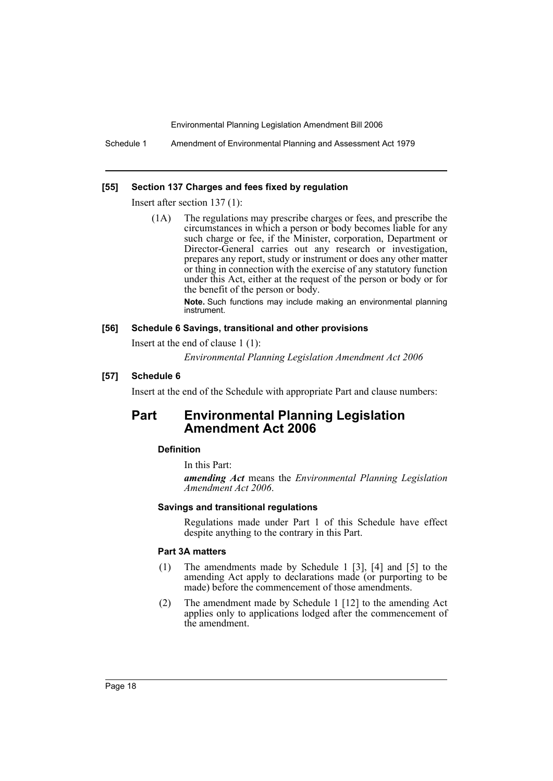Schedule 1 Amendment of Environmental Planning and Assessment Act 1979

#### **[55] Section 137 Charges and fees fixed by regulation**

Insert after section 137 (1):

(1A) The regulations may prescribe charges or fees, and prescribe the circumstances in which a person or body becomes liable for any such charge or fee, if the Minister, corporation, Department or Director-General carries out any research or investigation, prepares any report, study or instrument or does any other matter or thing in connection with the exercise of any statutory function under this Act, either at the request of the person or body or for the benefit of the person or body.

> **Note.** Such functions may include making an environmental planning instrument.

#### **[56] Schedule 6 Savings, transitional and other provisions**

Insert at the end of clause 1 (1):

*Environmental Planning Legislation Amendment Act 2006*

#### **[57] Schedule 6**

Insert at the end of the Schedule with appropriate Part and clause numbers:

# **Part Environmental Planning Legislation Amendment Act 2006**

#### **Definition**

In this Part:

*amending Act* means the *Environmental Planning Legislation Amendment Act 2006*.

#### **Savings and transitional regulations**

Regulations made under Part 1 of this Schedule have effect despite anything to the contrary in this Part.

# **Part 3A matters**

- (1) The amendments made by Schedule 1 [3], [4] and [5] to the amending Act apply to declarations made (or purporting to be made) before the commencement of those amendments.
- (2) The amendment made by Schedule 1 [12] to the amending Act applies only to applications lodged after the commencement of the amendment.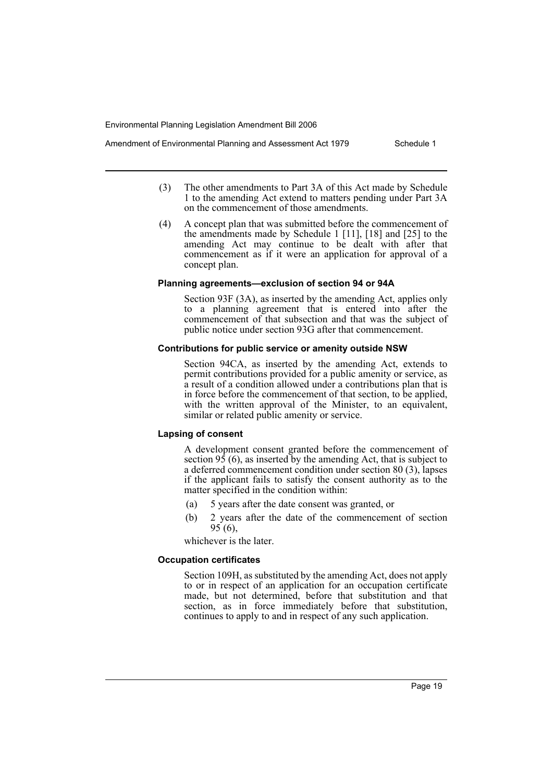- Amendment of Environmental Planning and Assessment Act 1979 Schedule 1
	- (3) The other amendments to Part 3A of this Act made by Schedule 1 to the amending Act extend to matters pending under Part 3A on the commencement of those amendments.
	- (4) A concept plan that was submitted before the commencement of the amendments made by Schedule 1 [11], [18] and [25] to the amending Act may continue to be dealt with after that commencement as if it were an application for approval of a concept plan.

#### **Planning agreements—exclusion of section 94 or 94A**

Section 93F (3A), as inserted by the amending Act, applies only to a planning agreement that is entered into after the commencement of that subsection and that was the subject of public notice under section 93G after that commencement.

#### **Contributions for public service or amenity outside NSW**

Section 94CA, as inserted by the amending Act, extends to permit contributions provided for a public amenity or service, as a result of a condition allowed under a contributions plan that is in force before the commencement of that section, to be applied, with the written approval of the Minister, to an equivalent, similar or related public amenity or service.

#### **Lapsing of consent**

A development consent granted before the commencement of section  $9\overline{5}$  (6), as inserted by the amending Act, that is subject to a deferred commencement condition under section 80 (3), lapses if the applicant fails to satisfy the consent authority as to the matter specified in the condition within:

- (a) 5 years after the date consent was granted, or
- (b) 2 years after the date of the commencement of section  $95(6)$ ,

whichever is the later.

#### **Occupation certificates**

Section 109H, as substituted by the amending Act, does not apply to or in respect of an application for an occupation certificate made, but not determined, before that substitution and that section, as in force immediately before that substitution, continues to apply to and in respect of any such application.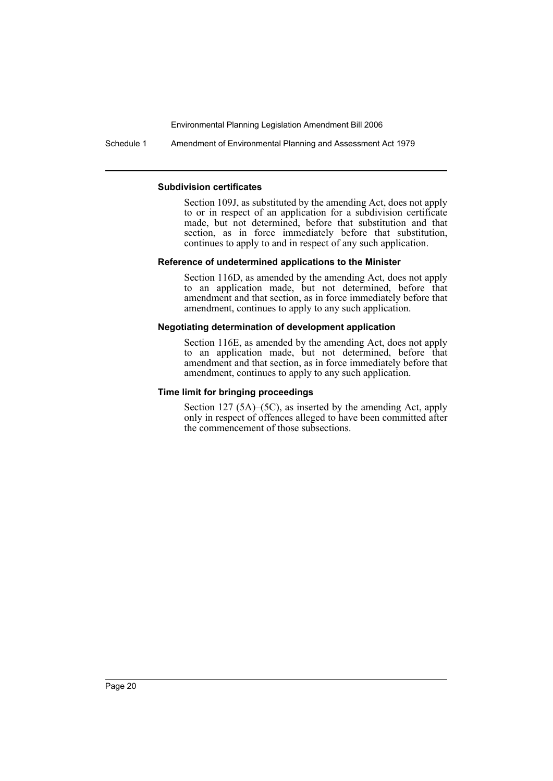Schedule 1 Amendment of Environmental Planning and Assessment Act 1979

#### **Subdivision certificates**

Section 109J, as substituted by the amending Act, does not apply to or in respect of an application for a subdivision certificate made, but not determined, before that substitution and that section, as in force immediately before that substitution, continues to apply to and in respect of any such application.

#### **Reference of undetermined applications to the Minister**

Section 116D, as amended by the amending Act, does not apply to an application made, but not determined, before that amendment and that section, as in force immediately before that amendment, continues to apply to any such application.

#### **Negotiating determination of development application**

Section 116E, as amended by the amending Act, does not apply to an application made, but not determined, before that amendment and that section, as in force immediately before that amendment, continues to apply to any such application.

# **Time limit for bringing proceedings**

Section 127 (5A)–(5C), as inserted by the amending Act, apply only in respect of offences alleged to have been committed after the commencement of those subsections.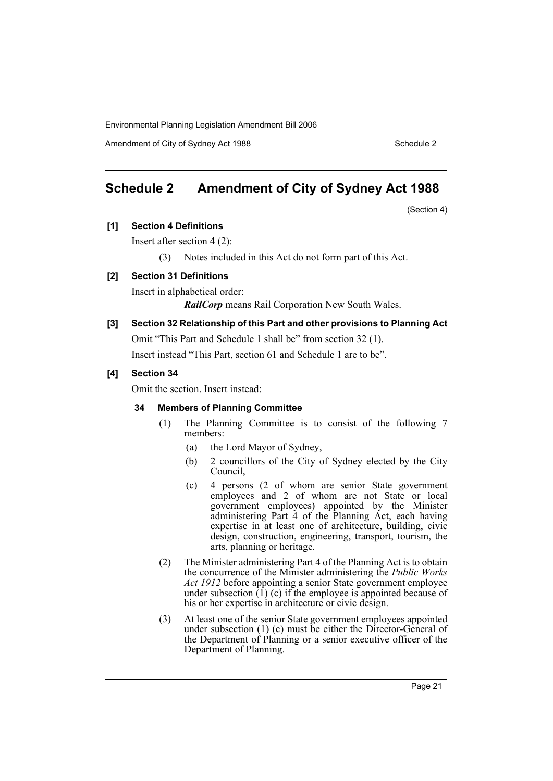Amendment of City of Sydney Act 1988 Schedule 2

# **Schedule 2 Amendment of City of Sydney Act 1988**

(Section 4)

# **[1] Section 4 Definitions**

Insert after section 4 (2):

(3) Notes included in this Act do not form part of this Act.

# **[2] Section 31 Definitions**

Insert in alphabetical order:

*RailCorp* means Rail Corporation New South Wales.

# **[3] Section 32 Relationship of this Part and other provisions to Planning Act**

Omit "This Part and Schedule 1 shall be" from section 32 (1).

Insert instead "This Part, section 61 and Schedule 1 are to be".

# **[4] Section 34**

Omit the section. Insert instead:

# **34 Members of Planning Committee**

- (1) The Planning Committee is to consist of the following 7 members:
	- (a) the Lord Mayor of Sydney,
	- (b) 2 councillors of the City of Sydney elected by the City Council,
	- (c) 4 persons (2 of whom are senior State government employees and 2 of whom are not State or local government employees) appointed by the Minister administering Part 4 of the Planning Act, each having expertise in at least one of architecture, building, civic design, construction, engineering, transport, tourism, the arts, planning or heritage.
- (2) The Minister administering Part 4 of the Planning Act is to obtain the concurrence of the Minister administering the *Public Works Act 1912* before appointing a senior State government employee under subsection  $(1)$  (c) if the employee is appointed because of his or her expertise in architecture or civic design.
- (3) At least one of the senior State government employees appointed under subsection (1) (c) must be either the Director-General of the Department of Planning or a senior executive officer of the Department of Planning.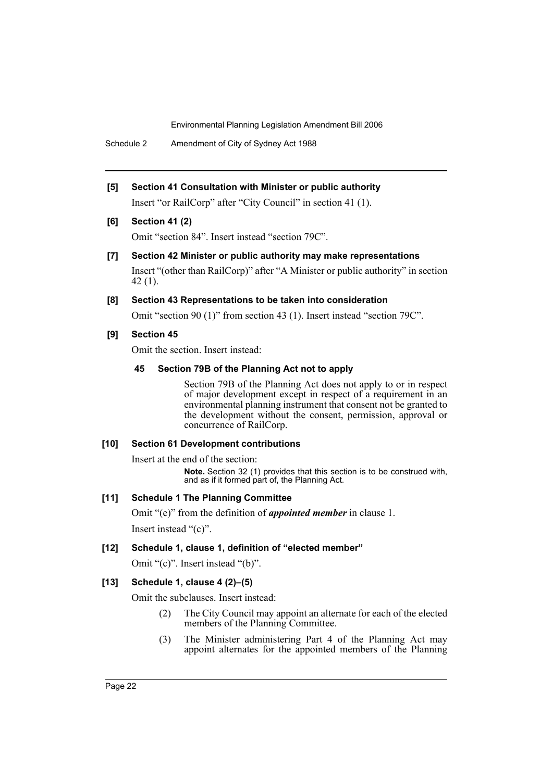Schedule 2 Amendment of City of Sydney Act 1988

**[5] Section 41 Consultation with Minister or public authority** Insert "or RailCorp" after "City Council" in section 41 (1).

**[6] Section 41 (2)**

Omit "section 84". Insert instead "section 79C".

# **[7] Section 42 Minister or public authority may make representations**

Insert "(other than RailCorp)" after "A Minister or public authority" in section 42 (1).

# **[8] Section 43 Representations to be taken into consideration**

Omit "section 90 (1)" from section 43 (1). Insert instead "section 79C".

# **[9] Section 45**

Omit the section. Insert instead:

# **45 Section 79B of the Planning Act not to apply**

Section 79B of the Planning Act does not apply to or in respect of major development except in respect of a requirement in an environmental planning instrument that consent not be granted to the development without the consent, permission, approval or concurrence of RailCorp.

#### **[10] Section 61 Development contributions**

Insert at the end of the section:

**Note.** Section 32 (1) provides that this section is to be construed with, and as if it formed part of, the Planning Act.

#### **[11] Schedule 1 The Planning Committee**

Omit "(e)" from the definition of *appointed member* in clause 1. Insert instead "(c)".

# **[12] Schedule 1, clause 1, definition of "elected member"**

Omit "(c)". Insert instead "(b)".

# **[13] Schedule 1, clause 4 (2)–(5)**

Omit the subclauses. Insert instead:

- (2) The City Council may appoint an alternate for each of the elected members of the Planning Committee.
- (3) The Minister administering Part 4 of the Planning Act may appoint alternates for the appointed members of the Planning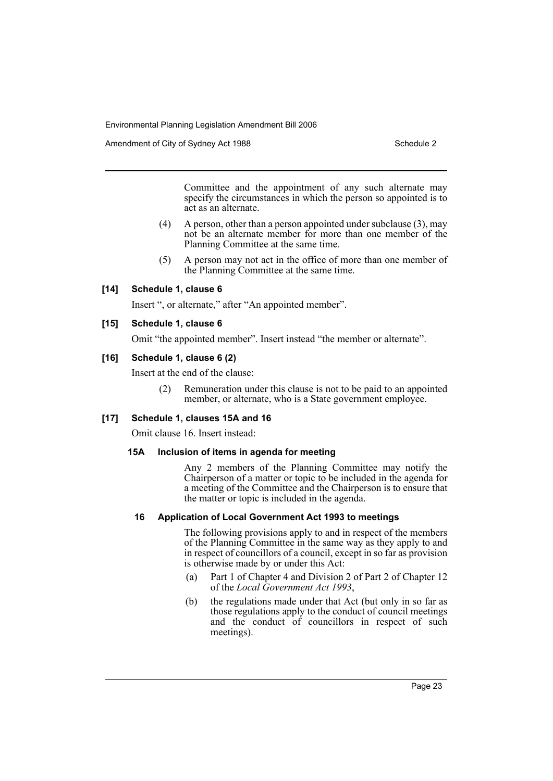Amendment of City of Sydney Act 1988 Schedule 2

Committee and the appointment of any such alternate may specify the circumstances in which the person so appointed is to act as an alternate.

- (4) A person, other than a person appointed under subclause (3), may not be an alternate member for more than one member of the Planning Committee at the same time.
- (5) A person may not act in the office of more than one member of the Planning Committee at the same time.

# **[14] Schedule 1, clause 6**

Insert ", or alternate," after "An appointed member".

# **[15] Schedule 1, clause 6**

Omit "the appointed member". Insert instead "the member or alternate".

# **[16] Schedule 1, clause 6 (2)**

Insert at the end of the clause:

(2) Remuneration under this clause is not to be paid to an appointed member, or alternate, who is a State government employee.

# **[17] Schedule 1, clauses 15A and 16**

Omit clause 16. Insert instead:

#### **15A Inclusion of items in agenda for meeting**

Any 2 members of the Planning Committee may notify the Chairperson of a matter or topic to be included in the agenda for a meeting of the Committee and the Chairperson is to ensure that the matter or topic is included in the agenda.

# **16 Application of Local Government Act 1993 to meetings**

The following provisions apply to and in respect of the members of the Planning Committee in the same way as they apply to and in respect of councillors of a council, except in so far as provision is otherwise made by or under this Act:

- (a) Part 1 of Chapter 4 and Division 2 of Part 2 of Chapter 12 of the *Local Government Act 1993*,
- (b) the regulations made under that Act (but only in so far as those regulations apply to the conduct of council meetings and the conduct of councillors in respect of such meetings).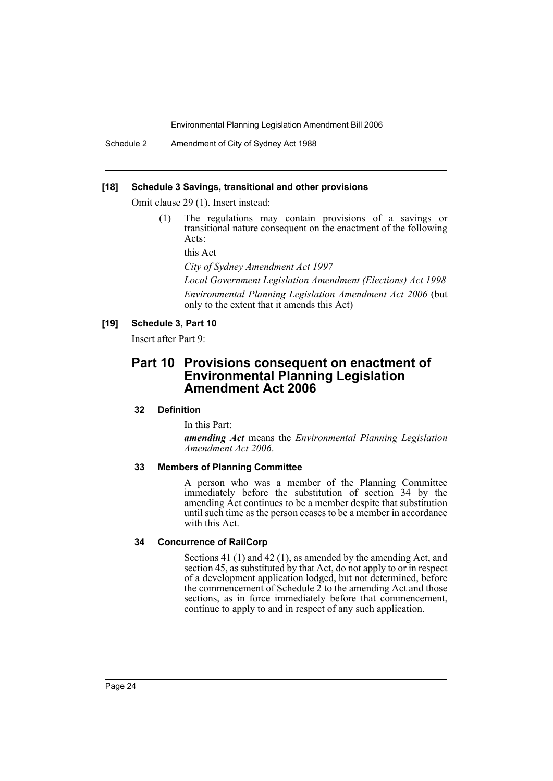Schedule 2 Amendment of City of Sydney Act 1988

#### **[18] Schedule 3 Savings, transitional and other provisions**

Omit clause 29 (1). Insert instead:

(1) The regulations may contain provisions of a savings or transitional nature consequent on the enactment of the following Acts:

this Act

*City of Sydney Amendment Act 1997*

*Local Government Legislation Amendment (Elections) Act 1998 Environmental Planning Legislation Amendment Act 2006* (but only to the extent that it amends this Act)

# **[19] Schedule 3, Part 10**

Insert after Part 9:

# **Part 10 Provisions consequent on enactment of Environmental Planning Legislation Amendment Act 2006**

# **32 Definition**

In this Part:

*amending Act* means the *Environmental Planning Legislation Amendment Act 2006*.

#### **33 Members of Planning Committee**

A person who was a member of the Planning Committee immediately before the substitution of section 34 by the amending Act continues to be a member despite that substitution until such time as the person ceases to be a member in accordance with this Act.

#### **34 Concurrence of RailCorp**

Sections 41 (1) and 42 (1), as amended by the amending Act, and section 45, as substituted by that Act, do not apply to or in respect of a development application lodged, but not determined, before the commencement of Schedule  $\tilde{2}$  to the amending Act and those sections, as in force immediately before that commencement, continue to apply to and in respect of any such application.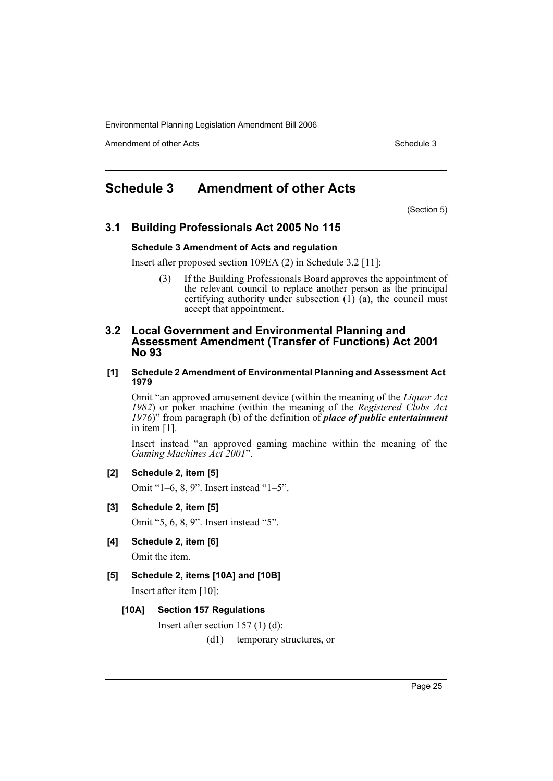Amendment of other Acts **Schedule 3** and the 3 set of the 3 set of the 3 set of the 3 set of the 3 set of the 3 set of the 3 set of the 3 set of the 3 set of the 3 set of the 3 set of the 3 set of the 3 set of the 3 set of

# **Schedule 3 Amendment of other Acts**

(Section 5)

# **3.1 Building Professionals Act 2005 No 115**

#### **Schedule 3 Amendment of Acts and regulation**

Insert after proposed section 109EA (2) in Schedule 3.2 [11]:

(3) If the Building Professionals Board approves the appointment of the relevant council to replace another person as the principal certifying authority under subsection (1) (a), the council must accept that appointment.

# **3.2 Local Government and Environmental Planning and Assessment Amendment (Transfer of Functions) Act 2001 No 93**

#### **[1] Schedule 2 Amendment of Environmental Planning and Assessment Act 1979**

Omit "an approved amusement device (within the meaning of the *Liquor Act 1982*) or poker machine (within the meaning of the *Registered Clubs Act 1976*)" from paragraph (b) of the definition of *place of public entertainment* in item [1].

Insert instead "an approved gaming machine within the meaning of the *Gaming Machines Act 2001*".

**[2] Schedule 2, item [5]**

Omit "1–6, 8, 9". Insert instead "1–5".

- **[3] Schedule 2, item [5]** Omit "5, 6, 8, 9". Insert instead "5".
- **[4] Schedule 2, item [6]** Omit the item.

# **[5] Schedule 2, items [10A] and [10B]**

Insert after item [10]:

#### **[10A] Section 157 Regulations**

Insert after section 157 (1) (d):

(d1) temporary structures, or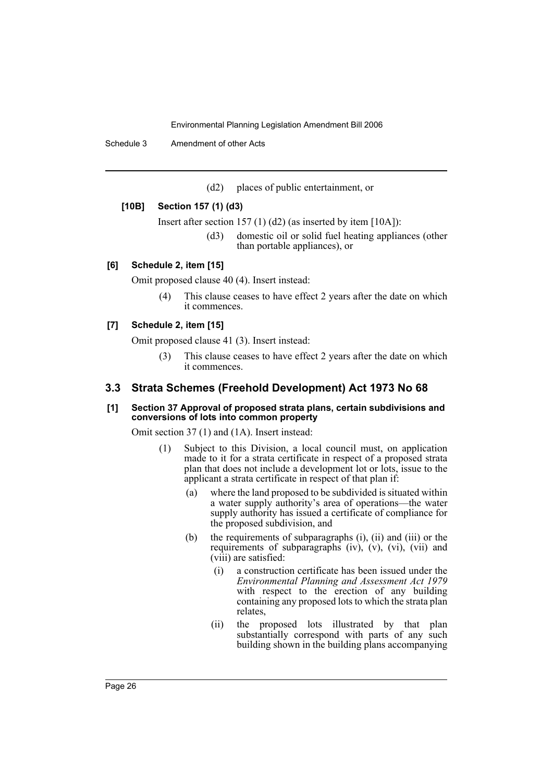Schedule 3 Amendment of other Acts

(d2) places of public entertainment, or

#### **[10B] Section 157 (1) (d3)**

Insert after section 157 (1) (d2) (as inserted by item [10A]):

(d3) domestic oil or solid fuel heating appliances (other than portable appliances), or

#### **[6] Schedule 2, item [15]**

Omit proposed clause 40 (4). Insert instead:

(4) This clause ceases to have effect 2 years after the date on which it commences.

# **[7] Schedule 2, item [15]**

Omit proposed clause 41 (3). Insert instead:

(3) This clause ceases to have effect 2 years after the date on which it commences.

#### **3.3 Strata Schemes (Freehold Development) Act 1973 No 68**

#### **[1] Section 37 Approval of proposed strata plans, certain subdivisions and conversions of lots into common property**

Omit section 37 (1) and (1A). Insert instead:

- (1) Subject to this Division, a local council must, on application made to it for a strata certificate in respect of a proposed strata plan that does not include a development lot or lots, issue to the applicant a strata certificate in respect of that plan if:
	- (a) where the land proposed to be subdivided is situated within a water supply authority's area of operations—the water supply authority has issued a certificate of compliance for the proposed subdivision, and
	- (b) the requirements of subparagraphs (i), (ii) and (iii) or the requirements of subparagraphs (iv), (v), (vi), (vii) and (viii) are satisfied:
		- (i) a construction certificate has been issued under the *Environmental Planning and Assessment Act 1979* with respect to the erection of any building containing any proposed lots to which the strata plan relates,
		- (ii) the proposed lots illustrated by that plan substantially correspond with parts of any such building shown in the building plans accompanying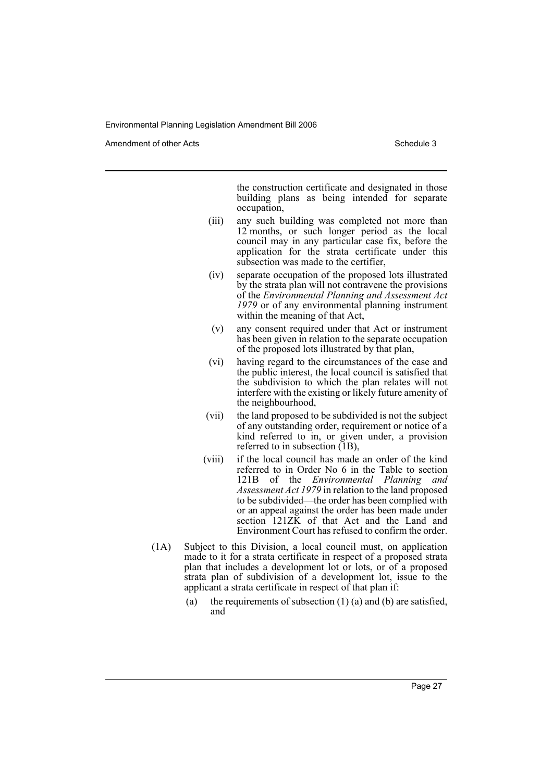Amendment of other Acts **Schedule 3** and the 3 schedule 3

the construction certificate and designated in those building plans as being intended for separate occupation,

- (iii) any such building was completed not more than 12 months, or such longer period as the local council may in any particular case fix, before the application for the strata certificate under this subsection was made to the certifier,
- (iv) separate occupation of the proposed lots illustrated by the strata plan will not contravene the provisions of the *Environmental Planning and Assessment Act 1979* or of any environmental planning instrument within the meaning of that Act,
- (v) any consent required under that Act or instrument has been given in relation to the separate occupation of the proposed lots illustrated by that plan,
- (vi) having regard to the circumstances of the case and the public interest, the local council is satisfied that the subdivision to which the plan relates will not interfere with the existing or likely future amenity of the neighbourhood,
- (vii) the land proposed to be subdivided is not the subject of any outstanding order, requirement or notice of a kind referred to in, or given under, a provision referred to in subsection (1B),
- (viii) if the local council has made an order of the kind referred to in Order No 6 in the Table to section 121B of the *Environmental Planning and Assessment Act 1979* in relation to the land proposed to be subdivided—the order has been complied with or an appeal against the order has been made under section 121ZK of that Act and the Land and Environment Court has refused to confirm the order.
- (1A) Subject to this Division, a local council must, on application made to it for a strata certificate in respect of a proposed strata plan that includes a development lot or lots, or of a proposed strata plan of subdivision of a development lot, issue to the applicant a strata certificate in respect of that plan if:
	- (a) the requirements of subsection  $(1)$  (a) and (b) are satisfied, and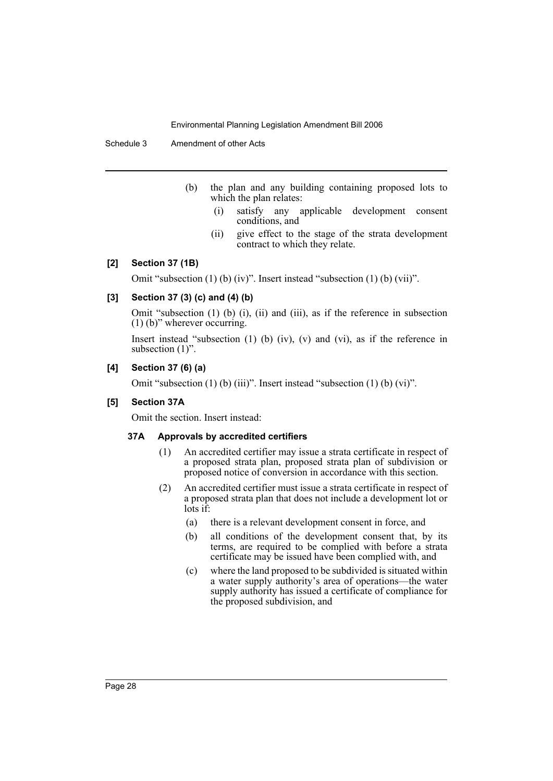Schedule 3 Amendment of other Acts

- (b) the plan and any building containing proposed lots to which the plan relates:
	- (i) satisfy any applicable development consent conditions, and
	- (ii) give effect to the stage of the strata development contract to which they relate.

# **[2] Section 37 (1B)**

Omit "subsection (1) (b) (iv)". Insert instead "subsection (1) (b) (vii)".

# **[3] Section 37 (3) (c) and (4) (b)**

Omit "subsection (1) (b) (i), (ii) and (iii), as if the reference in subsection (1) (b)" wherever occurring.

Insert instead "subsection (1) (b) (iv), (v) and (vi), as if the reference in subsection  $(1)$ ".

# **[4] Section 37 (6) (a)**

Omit "subsection (1) (b) (iii)". Insert instead "subsection (1) (b) (vi)".

# **[5] Section 37A**

Omit the section. Insert instead:

#### **37A Approvals by accredited certifiers**

- (1) An accredited certifier may issue a strata certificate in respect of a proposed strata plan, proposed strata plan of subdivision or proposed notice of conversion in accordance with this section.
- (2) An accredited certifier must issue a strata certificate in respect of a proposed strata plan that does not include a development lot or lots if:
	- (a) there is a relevant development consent in force, and
	- (b) all conditions of the development consent that, by its terms, are required to be complied with before a strata certificate may be issued have been complied with, and
	- (c) where the land proposed to be subdivided is situated within a water supply authority's area of operations—the water supply authority has issued a certificate of compliance for the proposed subdivision, and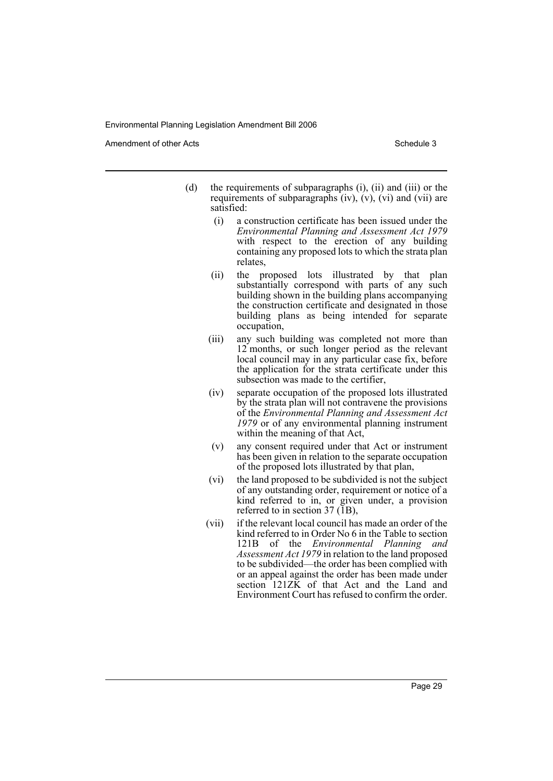Amendment of other Acts **Schedule 3** and the 3 schedule 3

- (d) the requirements of subparagraphs (i), (ii) and (iii) or the requirements of subparagraphs  $(iv)$ ,  $(v)$ ,  $(vi)$  and  $(vii)$  are satisfied:
	- (i) a construction certificate has been issued under the *Environmental Planning and Assessment Act 1979* with respect to the erection of any building containing any proposed lots to which the strata plan relates,
	- (ii) the proposed lots illustrated by that plan substantially correspond with parts of any such building shown in the building plans accompanying the construction certificate and designated in those building plans as being intended for separate occupation,
	- (iii) any such building was completed not more than 12 months, or such longer period as the relevant local council may in any particular case fix, before the application for the strata certificate under this subsection was made to the certifier,
	- (iv) separate occupation of the proposed lots illustrated by the strata plan will not contravene the provisions of the *Environmental Planning and Assessment Act 1979* or of any environmental planning instrument within the meaning of that Act,
	- (v) any consent required under that Act or instrument has been given in relation to the separate occupation of the proposed lots illustrated by that plan,
	- (vi) the land proposed to be subdivided is not the subject of any outstanding order, requirement or notice of a kind referred to in, or given under, a provision referred to in section 37 (1B),
	- (vii) if the relevant local council has made an order of the kind referred to in Order No 6 in the Table to section 121B of the *Environmental Planning and Assessment Act 1979* in relation to the land proposed to be subdivided—the order has been complied with or an appeal against the order has been made under section  $121Z\overline{K}$  of that Act and the Land and Environment Court has refused to confirm the order.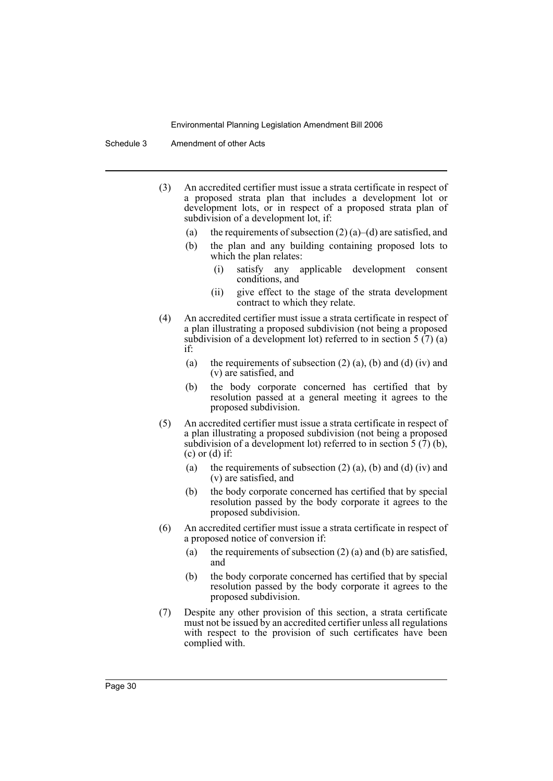Schedule 3 Amendment of other Acts

- (3) An accredited certifier must issue a strata certificate in respect of a proposed strata plan that includes a development lot or development lots, or in respect of a proposed strata plan of subdivision of a development lot, if:
	- (a) the requirements of subsection  $(2)$  (a)–(d) are satisfied, and
	- (b) the plan and any building containing proposed lots to which the plan relates:
		- (i) satisfy any applicable development consent conditions, and
		- (ii) give effect to the stage of the strata development contract to which they relate.
- (4) An accredited certifier must issue a strata certificate in respect of a plan illustrating a proposed subdivision (not being a proposed subdivision of a development lot) referred to in section  $5(7)(a)$ if:
	- (a) the requirements of subsection  $(2)$  (a), (b) and (d) (iv) and (v) are satisfied, and
	- (b) the body corporate concerned has certified that by resolution passed at a general meeting it agrees to the proposed subdivision.
- (5) An accredited certifier must issue a strata certificate in respect of a plan illustrating a proposed subdivision (not being a proposed subdivision of a development lot) referred to in section  $\tilde{5}$  ( $\tilde{7}$ ) (b),  $(c)$  or  $(d)$  if:
	- (a) the requirements of subsection  $(2)$   $(a)$ ,  $(b)$  and  $(d)$   $(iv)$  and (v) are satisfied, and
	- (b) the body corporate concerned has certified that by special resolution passed by the body corporate it agrees to the proposed subdivision.
- (6) An accredited certifier must issue a strata certificate in respect of a proposed notice of conversion if:
	- (a) the requirements of subsection  $(2)$  (a) and (b) are satisfied, and
	- (b) the body corporate concerned has certified that by special resolution passed by the body corporate it agrees to the proposed subdivision.
- (7) Despite any other provision of this section, a strata certificate must not be issued by an accredited certifier unless all regulations with respect to the provision of such certificates have been complied with.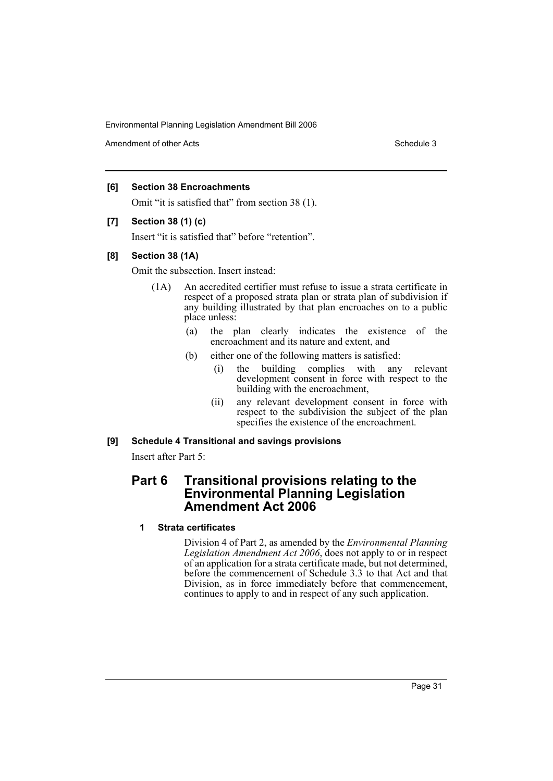Amendment of other Acts **Schedule 3** and the 3 set of the 3 set of the 3 set of the 3 set of the 3 set of the 3 set of the 3 set of the 3 set of the 3 set of the 3 set of the 3 set of the 3 set of the 3 set of the 3 set of

# **[6] Section 38 Encroachments**

Omit "it is satisfied that" from section 38 (1).

# **[7] Section 38 (1) (c)**

Insert "it is satisfied that" before "retention".

# **[8] Section 38 (1A)**

Omit the subsection. Insert instead:

- (1A) An accredited certifier must refuse to issue a strata certificate in respect of a proposed strata plan or strata plan of subdivision if any building illustrated by that plan encroaches on to a public place unless:
	- (a) the plan clearly indicates the existence of the encroachment and its nature and extent, and
	- (b) either one of the following matters is satisfied:
		- (i) the building complies with any relevant development consent in force with respect to the building with the encroachment,
		- (ii) any relevant development consent in force with respect to the subdivision the subject of the plan specifies the existence of the encroachment.

# **[9] Schedule 4 Transitional and savings provisions**

Insert after Part 5:

# **Part 6 Transitional provisions relating to the Environmental Planning Legislation Amendment Act 2006**

# **1 Strata certificates**

Division 4 of Part 2, as amended by the *Environmental Planning Legislation Amendment Act 2006*, does not apply to or in respect of an application for a strata certificate made, but not determined, before the commencement of Schedule 3.3 to that Act and that Division, as in force immediately before that commencement, continues to apply to and in respect of any such application.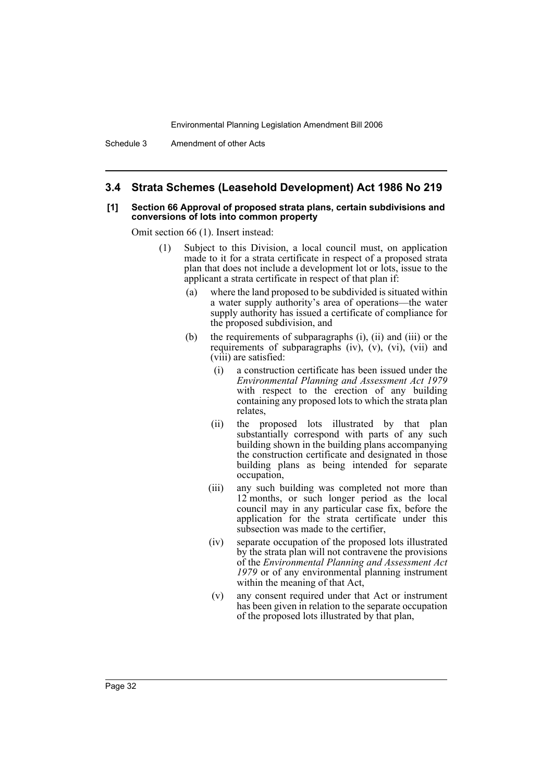Schedule 3 Amendment of other Acts

#### **3.4 Strata Schemes (Leasehold Development) Act 1986 No 219**

#### **[1] Section 66 Approval of proposed strata plans, certain subdivisions and conversions of lots into common property**

Omit section 66 (1). Insert instead:

- (1) Subject to this Division, a local council must, on application made to it for a strata certificate in respect of a proposed strata plan that does not include a development lot or lots, issue to the applicant a strata certificate in respect of that plan if:
	- (a) where the land proposed to be subdivided is situated within a water supply authority's area of operations—the water supply authority has issued a certificate of compliance for the proposed subdivision, and
	- (b) the requirements of subparagraphs (i), (ii) and (iii) or the requirements of subparagraphs (iv), (v), (vi), (vii) and (viii) are satisfied:
		- (i) a construction certificate has been issued under the *Environmental Planning and Assessment Act 1979* with respect to the erection of any building containing any proposed lots to which the strata plan relates,
		- (ii) the proposed lots illustrated by that plan substantially correspond with parts of any such building shown in the building plans accompanying the construction certificate and designated in those building plans as being intended for separate occupation,
		- (iii) any such building was completed not more than 12 months, or such longer period as the local council may in any particular case fix, before the application for the strata certificate under this subsection was made to the certifier,
		- (iv) separate occupation of the proposed lots illustrated by the strata plan will not contravene the provisions of the *Environmental Planning and Assessment Act 1979* or of any environmental planning instrument within the meaning of that Act,
		- (v) any consent required under that Act or instrument has been given in relation to the separate occupation of the proposed lots illustrated by that plan,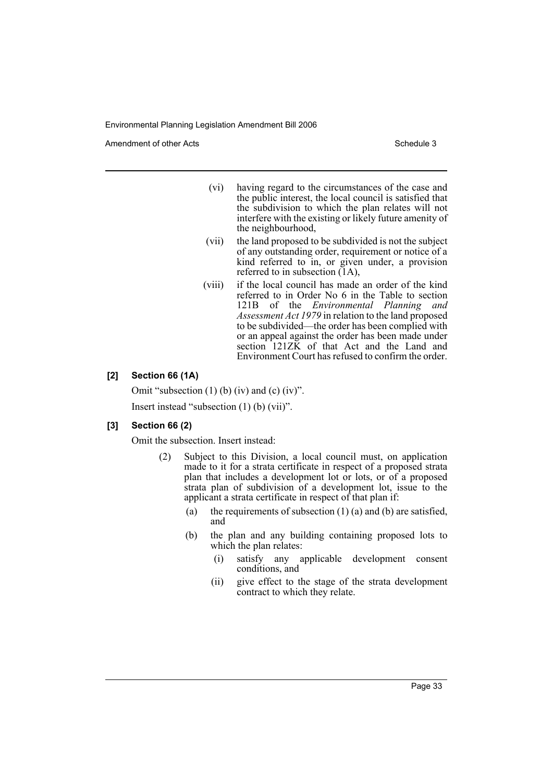Amendment of other Acts **Schedule 3** and the 3 schedule 3

- (vi) having regard to the circumstances of the case and the public interest, the local council is satisfied that the subdivision to which the plan relates will not interfere with the existing or likely future amenity of the neighbourhood,
- (vii) the land proposed to be subdivided is not the subject of any outstanding order, requirement or notice of a kind referred to in, or given under, a provision referred to in subsection (1A),
- (viii) if the local council has made an order of the kind referred to in Order No 6 in the Table to section 121B of the *Environmental Planning and Assessment Act 1979* in relation to the land proposed to be subdivided—the order has been complied with or an appeal against the order has been made under section 121ZK of that Act and the Land and Environment Court has refused to confirm the order.

# **[2] Section 66 (1A)**

Omit "subsection  $(1)$  (b) (iv) and  $(c)$  (iv)". Insert instead "subsection (1) (b) (vii)".

# **[3] Section 66 (2)**

Omit the subsection. Insert instead:

- (2) Subject to this Division, a local council must, on application made to it for a strata certificate in respect of a proposed strata plan that includes a development lot or lots, or of a proposed strata plan of subdivision of a development lot, issue to the applicant a strata certificate in respect of that plan if:
	- (a) the requirements of subsection  $(1)$  (a) and (b) are satisfied, and
	- (b) the plan and any building containing proposed lots to which the plan relates:
		- (i) satisfy any applicable development consent conditions, and
		- (ii) give effect to the stage of the strata development contract to which they relate.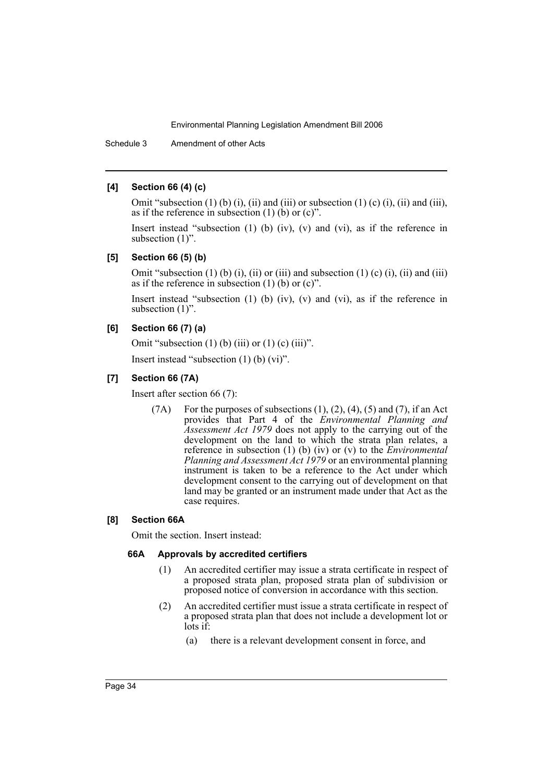Schedule 3 Amendment of other Acts

### **[4] Section 66 (4) (c)**

Omit "subsection  $(1)$  (b)  $(i)$ ,  $(ii)$  and  $(iii)$  or subsection  $(1)$   $(c)$   $(i)$ ,  $(ii)$  and  $(iii)$ , as if the reference in subsection  $(1)$  (b) or  $(c)$ ".

Insert instead "subsection (1) (b) (iv), (v) and (vi), as if the reference in subsection  $(1)$ ".

# **[5] Section 66 (5) (b)**

Omit "subsection  $(1)$  (b)  $(i)$ ,  $(ii)$  or  $(iii)$  and subsection  $(1)$  (c)  $(i)$ ,  $(ii)$  and  $(iii)$ as if the reference in subsection  $(1)$  (b) or  $(c)$ ".

Insert instead "subsection (1) (b) (iv), (v) and (vi), as if the reference in subsection  $(1)$ ".

#### **[6] Section 66 (7) (a)**

Omit "subsection  $(1)$  (b) (iii) or  $(1)$  (c) (iii)".

Insert instead "subsection (1) (b) (vi)".

# **[7] Section 66 (7A)**

Insert after section 66 (7):

(7A) For the purposes of subsections  $(1)$ ,  $(2)$ ,  $(4)$ ,  $(5)$  and  $(7)$ , if an Act provides that Part 4 of the *Environmental Planning and Assessment Act 1979* does not apply to the carrying out of the development on the land to which the strata plan relates, a reference in subsection (1) (b) (iv) or (v) to the *Environmental Planning and Assessment Act 1979* or an environmental planning instrument is taken to be a reference to the Act under which development consent to the carrying out of development on that land may be granted or an instrument made under that Act as the case requires.

#### **[8] Section 66A**

Omit the section. Insert instead:

#### **66A Approvals by accredited certifiers**

- (1) An accredited certifier may issue a strata certificate in respect of a proposed strata plan, proposed strata plan of subdivision or proposed notice of conversion in accordance with this section.
- (2) An accredited certifier must issue a strata certificate in respect of a proposed strata plan that does not include a development lot or lots if:
	- (a) there is a relevant development consent in force, and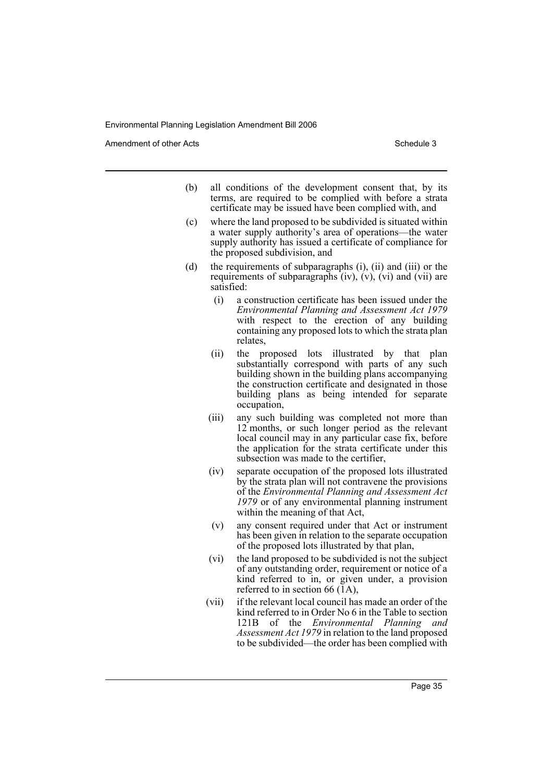Amendment of other Acts **Schedule 3** and the 3 schedule 3

- (b) all conditions of the development consent that, by its terms, are required to be complied with before a strata certificate may be issued have been complied with, and
- (c) where the land proposed to be subdivided is situated within a water supply authority's area of operations—the water supply authority has issued a certificate of compliance for the proposed subdivision, and
- (d) the requirements of subparagraphs (i), (ii) and (iii) or the requirements of subparagraphs  $(iv)$ ,  $(v)$ ,  $(vi)$  and  $(vii)$  are satisfied:
	- (i) a construction certificate has been issued under the *Environmental Planning and Assessment Act 1979* with respect to the erection of any building containing any proposed lots to which the strata plan relates,
	- (ii) the proposed lots illustrated by that plan substantially correspond with parts of any such building shown in the building plans accompanying the construction certificate and designated in those building plans as being intended for separate occupation,
	- (iii) any such building was completed not more than 12 months, or such longer period as the relevant local council may in any particular case fix, before the application for the strata certificate under this subsection was made to the certifier,
	- (iv) separate occupation of the proposed lots illustrated by the strata plan will not contravene the provisions of the *Environmental Planning and Assessment Act 1979* or of any environmental planning instrument within the meaning of that Act,
	- (v) any consent required under that Act or instrument has been given in relation to the separate occupation of the proposed lots illustrated by that plan,
	- (vi) the land proposed to be subdivided is not the subject of any outstanding order, requirement or notice of a kind referred to in, or given under, a provision referred to in section 66  $(1A)$ ,
	- (vii) if the relevant local council has made an order of the kind referred to in Order No 6 in the Table to section 121B of the *Environmental Planning and Assessment Act 1979* in relation to the land proposed to be subdivided—the order has been complied with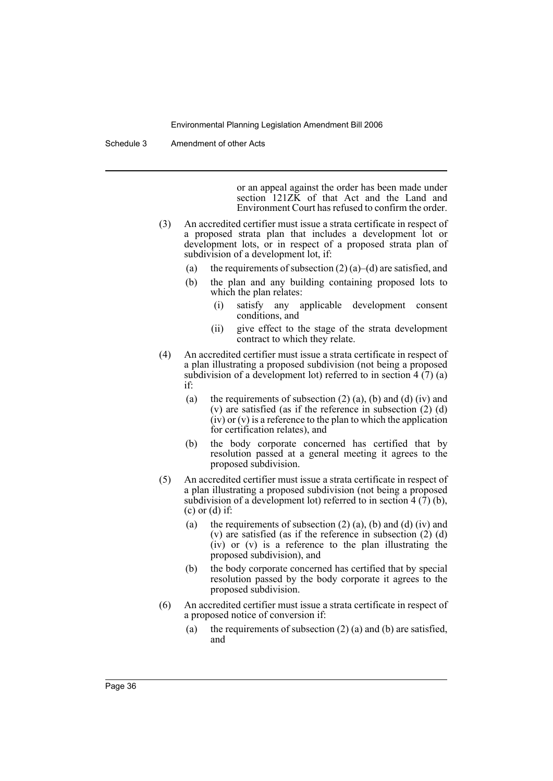Schedule 3 Amendment of other Acts

or an appeal against the order has been made under section 121ZK of that Act and the Land and Environment Court has refused to confirm the order.

- (3) An accredited certifier must issue a strata certificate in respect of a proposed strata plan that includes a development lot or development lots, or in respect of a proposed strata plan of subdivision of a development lot, if:
	- (a) the requirements of subsection  $(2)$  (a)–(d) are satisfied, and
	- (b) the plan and any building containing proposed lots to which the plan relates:
		- (i) satisfy any applicable development consent conditions, and
		- (ii) give effect to the stage of the strata development contract to which they relate.
- (4) An accredited certifier must issue a strata certificate in respect of a plan illustrating a proposed subdivision (not being a proposed subdivision of a development lot) referred to in section  $4(7)(a)$ if:
	- (a) the requirements of subsection  $(2)$  (a), (b) and (d) (iv) and (v) are satisfied (as if the reference in subsection  $(2)$  (d) (iv) or (v) is a reference to the plan to which the application for certification relates), and
	- (b) the body corporate concerned has certified that by resolution passed at a general meeting it agrees to the proposed subdivision.
- (5) An accredited certifier must issue a strata certificate in respect of a plan illustrating a proposed subdivision (not being a proposed subdivision of a development lot) referred to in section  $4(7)(b)$ ,  $(c)$  or  $(d)$  if:
	- (a) the requirements of subsection  $(2)$  (a), (b) and (d) (iv) and (v) are satisfied (as if the reference in subsection  $(2)$  (d) (iv) or (v) is a reference to the plan illustrating the proposed subdivision), and
	- (b) the body corporate concerned has certified that by special resolution passed by the body corporate it agrees to the proposed subdivision.
- (6) An accredited certifier must issue a strata certificate in respect of a proposed notice of conversion if:
	- (a) the requirements of subsection  $(2)$  (a) and (b) are satisfied, and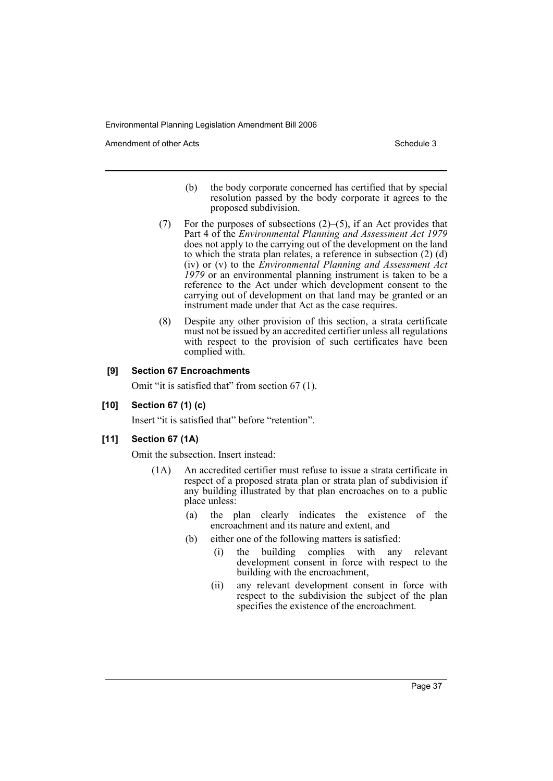Amendment of other Acts **Schedule 3** and the 3 schedule 3

- (b) the body corporate concerned has certified that by special resolution passed by the body corporate it agrees to the proposed subdivision.
- (7) For the purposes of subsections (2)–(5), if an Act provides that Part 4 of the *Environmental Planning and Assessment Act 1979* does not apply to the carrying out of the development on the land to which the strata plan relates, a reference in subsection (2) (d) (iv) or (v) to the *Environmental Planning and Assessment Act 1979* or an environmental planning instrument is taken to be a reference to the Act under which development consent to the carrying out of development on that land may be granted or an instrument made under that Act as the case requires.
- (8) Despite any other provision of this section, a strata certificate must not be issued by an accredited certifier unless all regulations with respect to the provision of such certificates have been complied with.

# **[9] Section 67 Encroachments**

Omit "it is satisfied that" from section 67 (1).

# **[10] Section 67 (1) (c)**

Insert "it is satisfied that" before "retention".

#### **[11] Section 67 (1A)**

Omit the subsection. Insert instead:

- (1A) An accredited certifier must refuse to issue a strata certificate in respect of a proposed strata plan or strata plan of subdivision if any building illustrated by that plan encroaches on to a public place unless:
	- (a) the plan clearly indicates the existence of the encroachment and its nature and extent, and
	- (b) either one of the following matters is satisfied:
		- (i) the building complies with any relevant development consent in force with respect to the building with the encroachment,
		- (ii) any relevant development consent in force with respect to the subdivision the subject of the plan specifies the existence of the encroachment.